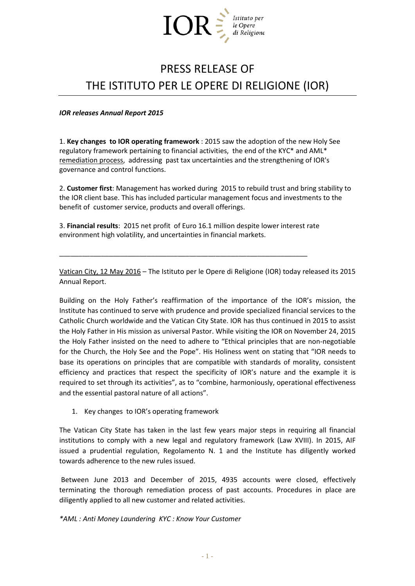

# PRESS RELEASE OF THE ISTITUTO PER LE OPERE DI RELIGIONE (IOR)

*IOR releases Annual Report 2015*

1. **Key changes to IOR operating framework** : 2015 saw the adoption of the new Holy See regulatory framework pertaining to financial activities, the end of the KYC\* and AML\* remediation process, addressing past tax uncertainties and the strengthening of IOR's governance and control functions.

2. **Customer first**: Management has worked during 2015 to rebuild trust and bring stability to the IOR client base. This has included particular management focus and investments to the benefit of customer service, products and overall offerings.

3. **Financial results**: 2015 net profit of Euro 16.1 million despite lower interest rate environment high volatility, and uncertainties in financial markets.

\_\_\_\_\_\_\_\_\_\_\_\_\_\_\_\_\_\_\_\_\_\_\_\_\_\_\_\_\_\_\_\_\_\_\_\_\_\_\_\_\_\_\_\_\_\_\_\_\_\_\_\_\_\_\_\_\_\_\_\_\_\_\_\_\_

Vatican City, 12 May 2016 – The Istituto per le Opere di Religione (IOR) today released its 2015 Annual Report.

Building on the Holy Father's reaffirmation of the importance of the IOR's mission, the Institute has continued to serve with prudence and provide specialized financial services to the Catholic Church worldwide and the Vatican City State. IOR has thus continued in 2015 to assist the Holy Father in His mission as universal Pastor. While visiting the IOR on November 24, 2015 the Holy Father insisted on the need to adhere to "Ethical principles that are non-negotiable for the Church, the Holy See and the Pope". His Holiness went on stating that "IOR needs to base its operations on principles that are compatible with standards of morality, consistent efficiency and practices that respect the specificity of IOR's nature and the example it is required to set through its activities", as to "combine, harmoniously, operational effectiveness and the essential pastoral nature of all actions".

1. Key changes to IOR's operating framework

The Vatican City State has taken in the last few years major steps in requiring all financial institutions to comply with a new legal and regulatory framework (Law XVIII). In 2015, AIF issued a prudential regulation, Regolamento N. 1 and the Institute has diligently worked towards adherence to the new rules issued.

Between June 2013 and December of 2015, 4935 accounts were closed, effectively terminating the thorough remediation process of past accounts. Procedures in place are diligently applied to all new customer and related activities.

*\*AML : Anti Money Laundering KYC : Know Your Customer*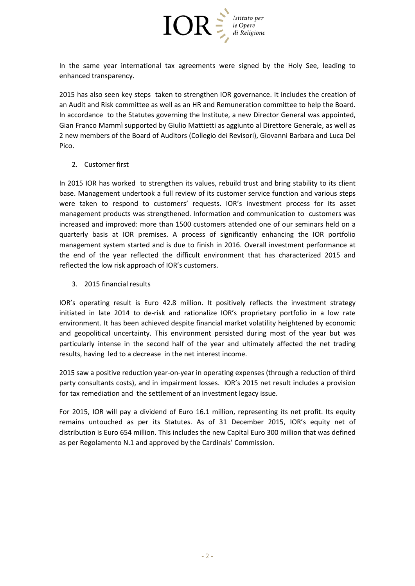

In the same year international tax agreements were signed by the Holy See, leading to enhanced transparency.

2015 has also seen key steps taken to strengthen IOR governance. It includes the creation of an Audit and Risk committee as well as an HR and Remuneration committee to help the Board. In accordance to the Statutes governing the Institute, a new Director General was appointed, Gian Franco Mammì supported by Giulio Mattietti as aggiunto al Direttore Generale, as well as 2 new members of the Board of Auditors (Collegio dei Revisori), Giovanni Barbara and Luca Del Pico.

2. Customer first

In 2015 IOR has worked to strengthen its values, rebuild trust and bring stability to its client base. Management undertook a full review of its customer service function and various steps were taken to respond to customers' requests. IOR's investment process for its asset management products was strengthened. Information and communication to customers was increased and improved: more than 1500 customers attended one of our seminars held on a quarterly basis at IOR premises. A process of significantly enhancing the IOR portfolio management system started and is due to finish in 2016. Overall investment performance at the end of the year reflected the difficult environment that has characterized 2015 and reflected the low risk approach of IOR's customers.

3. 2015 financial results

IOR's operating result is Euro 42.8 million. It positively reflects the investment strategy initiated in late 2014 to de-risk and rationalize IOR's proprietary portfolio in a low rate environment. It has been achieved despite financial market volatility heightened by economic and geopolitical uncertainty. This environment persisted during most of the year but was particularly intense in the second half of the year and ultimately affected the net trading results, having led to a decrease in the net interest income.

2015 saw a positive reduction year-on-year in operating expenses (through a reduction of third party consultants costs), and in impairment losses. IOR's 2015 net result includes a provision for tax remediation and the settlement of an investment legacy issue.

For 2015, IOR will pay a dividend of Euro 16.1 million, representing its net profit. Its equity remains untouched as per its Statutes. As of 31 December 2015, IOR's equity net of distribution is Euro 654 million. This includes the new Capital Euro 300 million that was defined as per Regolamento N.1 and approved by the Cardinals' Commission.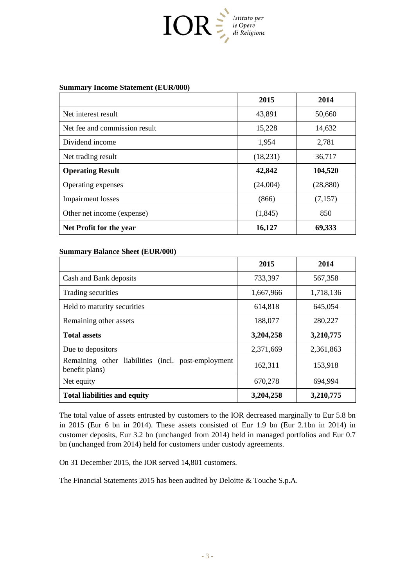

## **Summary Income Statement (EUR/000)**

|                               | 2015     | 2014      |
|-------------------------------|----------|-----------|
| Net interest result           | 43,891   | 50,660    |
| Net fee and commission result | 15,228   | 14,632    |
| Dividend income               | 1,954    | 2,781     |
| Net trading result            | (18,231) | 36,717    |
| <b>Operating Result</b>       | 42,842   | 104,520   |
| Operating expenses            | (24,004) | (28, 880) |
| <b>Impairment</b> losses      | (866)    | (7,157)   |
| Other net income (expense)    | (1, 845) | 850       |
| Net Profit for the year       | 16,127   | 69,333    |

#### **Summary Balance Sheet (EUR/000)**

|                                                                          | 2015      | 2014      |
|--------------------------------------------------------------------------|-----------|-----------|
| Cash and Bank deposits                                                   | 733,397   | 567,358   |
| Trading securities                                                       | 1,667,966 | 1,718,136 |
| Held to maturity securities                                              | 614,818   | 645,054   |
| Remaining other assets                                                   | 188,077   | 280,227   |
| <b>Total assets</b>                                                      | 3,204,258 | 3,210,775 |
| Due to depositors                                                        | 2,371,669 | 2,361,863 |
| Remaining other liabilities<br>(incl. post-employment)<br>benefit plans) | 162,311   | 153,918   |
| Net equity                                                               | 670,278   | 694,994   |
| <b>Total liabilities and equity</b>                                      | 3,204,258 | 3,210,775 |

The total value of assets entrusted by customers to the IOR decreased marginally to Eur 5.8 bn in 2015 (Eur 6 bn in 2014). These assets consisted of Eur 1.9 bn (Eur 2.1bn in 2014) in customer deposits, Eur 3.2 bn (unchanged from 2014) held in managed portfolios and Eur 0.7 bn (unchanged from 2014) held for customers under custody agreements.

On 31 December 2015, the IOR served 14,801 customers.

The Financial Statements 2015 has been audited by Deloitte & Touche S.p.A.